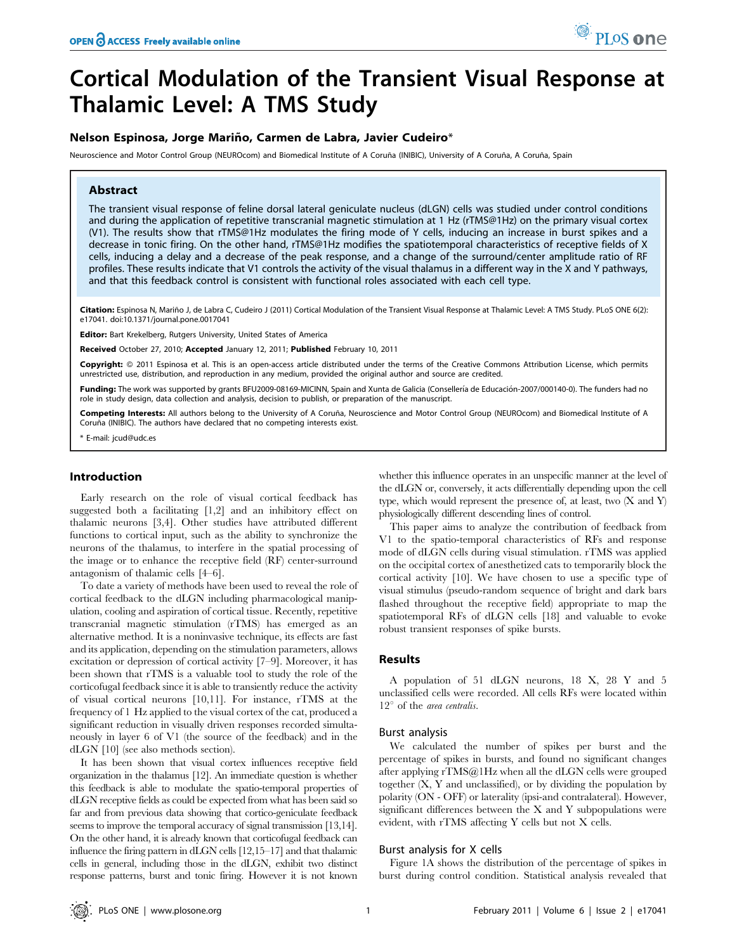# Cortical Modulation of the Transient Visual Response at Thalamic Level: A TMS Study

# Nelson Espinosa, Jorge Mariño, Carmen de Labra, Javier Cudeiro\*

Neuroscience and Motor Control Group (NEUROcom) and Biomedical Institute of A Coruña (INIBIC), University of A Coruña, A Coruña, Spain

# Abstract

The transient visual response of feline dorsal lateral geniculate nucleus (dLGN) cells was studied under control conditions and during the application of repetitive transcranial magnetic stimulation at 1 Hz (rTMS@1Hz) on the primary visual cortex (V1). The results show that rTMS@1Hz modulates the firing mode of Y cells, inducing an increase in burst spikes and a decrease in tonic firing. On the other hand, rTMS@1Hz modifies the spatiotemporal characteristics of receptive fields of X cells, inducing a delay and a decrease of the peak response, and a change of the surround/center amplitude ratio of RF profiles. These results indicate that V1 controls the activity of the visual thalamus in a different way in the X and Y pathways, and that this feedback control is consistent with functional roles associated with each cell type.

Citation: Espinosa N, Mariño J, de Labra C, Cudeiro J (2011) Cortical Modulation of the Transient Visual Response at Thalamic Level: A TMS Study. PLoS ONE 6(2): e17041. doi:10.1371/journal.pone.0017041

Editor: Bart Krekelberg, Rutgers University, United States of America

Received October 27, 2010; Accepted January 12, 2011; Published February 10, 2011

Copyright: © 2011 Espinosa et al. This is an open-access article distributed under the terms of the Creative Commons Attribution License, which permits unrestricted use, distribution, and reproduction in any medium, provided the original author and source are credited.

Funding: The work was supported by grants BFU2009-08169-MICINN, Spain and Xunta de Galicia (Consellería de Educación-2007/000140-0). The funders had no role in study design, data collection and analysis, decision to publish, or preparation of the manuscript.

Competing Interests: All authors belong to the University of A Coruña, Neuroscience and Motor Control Group (NEUROcom) and Biomedical Institute of A Coruña (INIBIC). The authors have declared that no competing interests exist.

E-mail: jcud@udc.es

# Introduction

Early research on the role of visual cortical feedback has suggested both a facilitating [1,2] and an inhibitory effect on thalamic neurons [3,4]. Other studies have attributed different functions to cortical input, such as the ability to synchronize the neurons of the thalamus, to interfere in the spatial processing of the image or to enhance the receptive field (RF) center-surround antagonism of thalamic cells [4–6].

To date a variety of methods have been used to reveal the role of cortical feedback to the dLGN including pharmacological manipulation, cooling and aspiration of cortical tissue. Recently, repetitive transcranial magnetic stimulation (rTMS) has emerged as an alternative method. It is a noninvasive technique, its effects are fast and its application, depending on the stimulation parameters, allows excitation or depression of cortical activity [7–9]. Moreover, it has been shown that rTMS is a valuable tool to study the role of the corticofugal feedback since it is able to transiently reduce the activity of visual cortical neurons [10,11]. For instance, rTMS at the frequency of 1 Hz applied to the visual cortex of the cat, produced a significant reduction in visually driven responses recorded simultaneously in layer 6 of V1 (the source of the feedback) and in the dLGN [10] (see also methods section).

It has been shown that visual cortex influences receptive field organization in the thalamus [12]. An immediate question is whether this feedback is able to modulate the spatio-temporal properties of dLGN receptive fields as could be expected from what has been said so far and from previous data showing that cortico-geniculate feedback seems to improve the temporal accuracy of signal transmission [13,14]. On the other hand, it is already known that corticofugal feedback can influence the firing pattern in dLGN cells [12,15–17] and that thalamic cells in general, including those in the dLGN, exhibit two distinct response patterns, burst and tonic firing. However it is not known whether this influence operates in an unspecific manner at the level of the dLGN or, conversely, it acts differentially depending upon the cell type, which would represent the presence of, at least, two  $(X \text{ and } Y)$ physiologically different descending lines of control.

This paper aims to analyze the contribution of feedback from V1 to the spatio-temporal characteristics of RFs and response mode of dLGN cells during visual stimulation. rTMS was applied on the occipital cortex of anesthetized cats to temporarily block the cortical activity [10]. We have chosen to use a specific type of visual stimulus (pseudo-random sequence of bright and dark bars flashed throughout the receptive field) appropriate to map the spatiotemporal RFs of dLGN cells [18] and valuable to evoke robust transient responses of spike bursts.

## Results

A population of 51 dLGN neurons, 18 X, 28 Y and 5 unclassified cells were recorded. All cells RFs were located within  $12^{\circ}$  of the *area centralis*.

# Burst analysis

We calculated the number of spikes per burst and the percentage of spikes in bursts, and found no significant changes after applying rTMS@1Hz when all the dLGN cells were grouped together (X, Y and unclassified), or by dividing the population by polarity (ON - OFF) or laterality (ipsi-and contralateral). However, significant differences between the X and Y subpopulations were evident, with rTMS affecting Y cells but not X cells.

#### Burst analysis for X cells

Figure 1A shows the distribution of the percentage of spikes in burst during control condition. Statistical analysis revealed that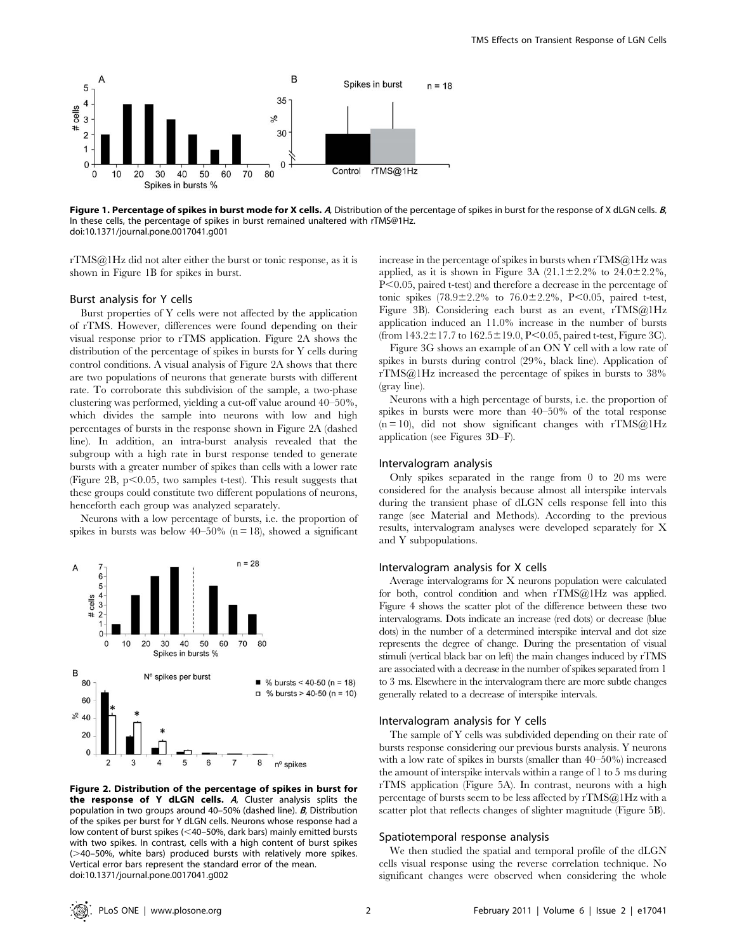

Figure 1. Percentage of spikes in burst mode for X cells. A, Distribution of the percentage of spikes in burst for the response of X dLGN cells. B, In these cells, the percentage of spikes in burst remained unaltered with rTMS@1Hz. doi:10.1371/journal.pone.0017041.g001

rTMS@1Hz did not alter either the burst or tonic response, as it is shown in Figure 1B for spikes in burst.

#### Burst analysis for Y cells

Burst properties of Y cells were not affected by the application of rTMS. However, differences were found depending on their visual response prior to rTMS application. Figure 2A shows the distribution of the percentage of spikes in bursts for Y cells during control conditions. A visual analysis of Figure 2A shows that there are two populations of neurons that generate bursts with different rate. To corroborate this subdivision of the sample, a two-phase clustering was performed, yielding a cut-off value around 40–50%, which divides the sample into neurons with low and high percentages of bursts in the response shown in Figure 2A (dashed line). In addition, an intra-burst analysis revealed that the subgroup with a high rate in burst response tended to generate bursts with a greater number of spikes than cells with a lower rate (Figure 2B,  $p<0.05$ , two samples t-test). This result suggests that these groups could constitute two different populations of neurons, henceforth each group was analyzed separately.

Neurons with a low percentage of bursts, i.e. the proportion of spikes in bursts was below  $40-50\%$  (n = 18), showed a significant



Figure 2. Distribution of the percentage of spikes in burst for the response of Y dLGN cells. <sup>A</sup>, Cluster analysis splits the population in two groups around 40-50% (dashed line). **B**, Distribution of the spikes per burst for Y dLGN cells. Neurons whose response had a low content of burst spikes (<40–50%, dark bars) mainly emitted bursts with two spikes. In contrast, cells with a high content of burst spikes  $($   $>$  40–50%, white bars) produced bursts with relatively more spikes. Vertical error bars represent the standard error of the mean. doi:10.1371/journal.pone.0017041.g002

increase in the percentage of spikes in bursts when rTMS@1Hz was applied, as it is shown in Figure 3A  $(21.1\pm2.2\%$  to  $24.0\pm2.2\%$ ,  $P<0.05$ , paired t-test) and therefore a decrease in the percentage of tonic spikes  $(78.9 \pm 2.2\%$  to  $76.0 \pm 2.2\%$ , P<0.05, paired t-test, Figure 3B). Considering each burst as an event, rTMS@1Hz application induced an 11.0% increase in the number of bursts (from  $143.2 \pm 17.7$  to  $162.5 \pm 19.0$ , P<0.05, paired t-test, Figure 3C).

Figure 3G shows an example of an ON Y cell with a low rate of spikes in bursts during control (29%, black line). Application of rTMS@1Hz increased the percentage of spikes in bursts to 38% (gray line).

Neurons with a high percentage of bursts, i.e. the proportion of spikes in bursts were more than 40–50% of the total response  $(n = 10)$ , did not show significant changes with rTMS@1Hz application (see Figures 3D–F).

#### Intervalogram analysis

Only spikes separated in the range from 0 to 20 ms were considered for the analysis because almost all interspike intervals during the transient phase of dLGN cells response fell into this range (see Material and Methods). According to the previous results, intervalogram analyses were developed separately for X and Y subpopulations.

#### Intervalogram analysis for X cells

Average intervalograms for X neurons population were calculated for both, control condition and when rTMS@1Hz was applied. Figure 4 shows the scatter plot of the difference between these two intervalograms. Dots indicate an increase (red dots) or decrease (blue dots) in the number of a determined interspike interval and dot size represents the degree of change. During the presentation of visual stimuli (vertical black bar on left) the main changes induced by rTMS are associated with a decrease in the number of spikes separated from 1 to 3 ms. Elsewhere in the intervalogram there are more subtle changes generally related to a decrease of interspike intervals.

#### Intervalogram analysis for Y cells

The sample of Y cells was subdivided depending on their rate of bursts response considering our previous bursts analysis. Y neurons with a low rate of spikes in bursts (smaller than 40–50%) increased the amount of interspike intervals within a range of 1 to 5 ms during rTMS application (Figure 5A). In contrast, neurons with a high percentage of bursts seem to be less affected by rTMS@1Hz with a scatter plot that reflects changes of slighter magnitude (Figure 5B).

#### Spatiotemporal response analysis

We then studied the spatial and temporal profile of the dLGN cells visual response using the reverse correlation technique. No significant changes were observed when considering the whole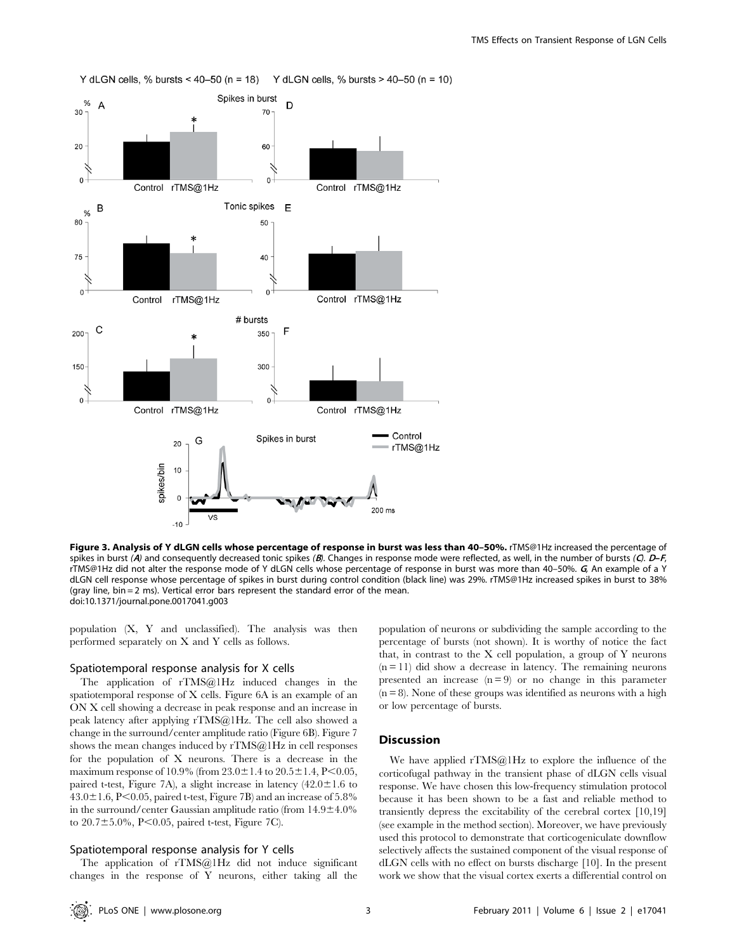

Figure 3. Analysis of Y dLGN cells whose percentage of response in burst was less than 40-50%. rTMS@1Hz increased the percentage of spikes in burst (A) and consequently decreased tonic spikes (B). Changes in response mode were reflected, as well, in the number of bursts (C).  $D-F$ , rTMS@1Hz did not alter the response mode of Y dLGN cells whose percentage of response in burst was more than 40-50%.  $G$ , An example of a Y dLGN cell response whose percentage of spikes in burst during control condition (black line) was 29%. rTMS@1Hz increased spikes in burst to 38% (gray line, bin = 2 ms). Vertical error bars represent the standard error of the mean. doi:10.1371/journal.pone.0017041.g003

population (X, Y and unclassified). The analysis was then performed separately on X and Y cells as follows.

## Spatiotemporal response analysis for X cells

The application of rTMS@1Hz induced changes in the spatiotemporal response of X cells. Figure 6A is an example of an ON X cell showing a decrease in peak response and an increase in peak latency after applying rTMS@1Hz. The cell also showed a change in the surround/center amplitude ratio (Figure 6B). Figure 7 shows the mean changes induced by rTMS@1Hz in cell responses for the population of X neurons. There is a decrease in the maximum response of 10.9% (from  $23.0 \pm 1.4$  to  $20.5 \pm 1.4$ , P<0.05, paired t-test, Figure 7A), a slight increase in latency  $(42.0 \pm 1.6)$  to  $43.0\pm1.6$ , P $< 0.05$ , paired t-test, Figure 7B) and an increase of 5.8% in the surround/center Gaussian amplitude ratio (from  $14.9 \pm 4.0\%$ ) to  $20.7 \pm 5.0\%$ , P $< 0.05$ , paired t-test, Figure 7C).

#### Spatiotemporal response analysis for Y cells

The application of rTMS@1Hz did not induce significant changes in the response of Y neurons, either taking all the

population of neurons or subdividing the sample according to the percentage of bursts (not shown). It is worthy of notice the fact that, in contrast to the X cell population, a group of Y neurons  $(n = 11)$  did show a decrease in latency. The remaining neurons presented an increase  $(n=9)$  or no change in this parameter  $(n = 8)$ . None of these groups was identified as neurons with a high or low percentage of bursts.

# Discussion

We have applied  $rTMS@1Hz$  to explore the influence of the corticofugal pathway in the transient phase of dLGN cells visual response. We have chosen this low-frequency stimulation protocol because it has been shown to be a fast and reliable method to transiently depress the excitability of the cerebral cortex [10,19] (see example in the method section). Moreover, we have previously used this protocol to demonstrate that corticogeniculate downflow selectively affects the sustained component of the visual response of dLGN cells with no effect on bursts discharge [10]. In the present work we show that the visual cortex exerts a differential control on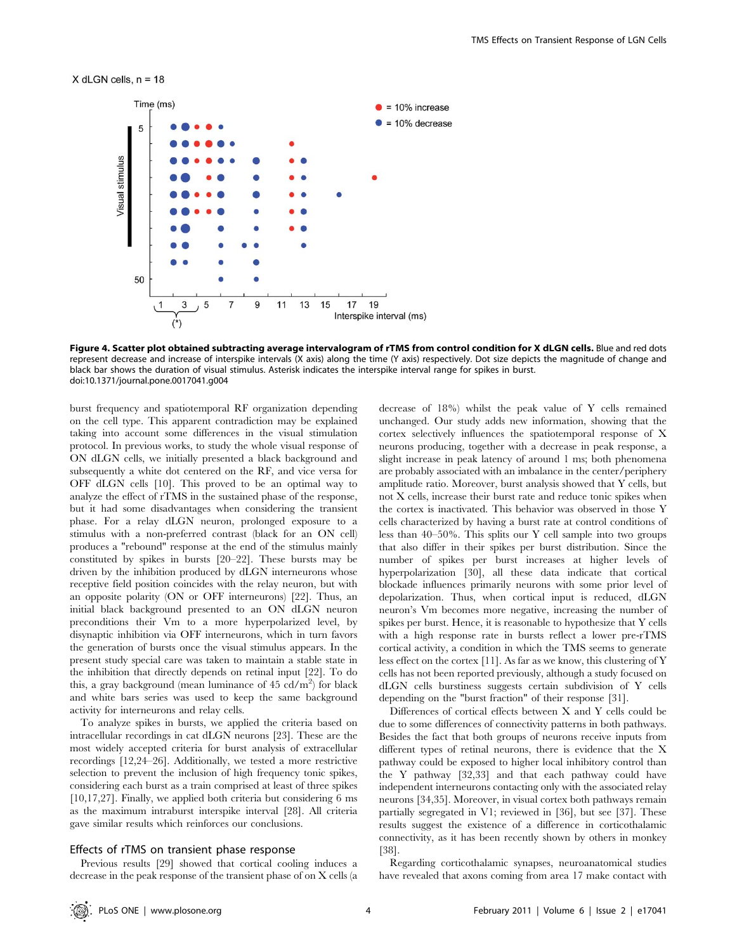#### $X$  dLGN cells,  $n = 18$



Figure 4. Scatter plot obtained subtracting average intervalogram of rTMS from control condition for X dLGN cells. Blue and red dots represent decrease and increase of interspike intervals (X axis) along the time (Y axis) respectively. Dot size depicts the magnitude of change and black bar shows the duration of visual stimulus. Asterisk indicates the interspike interval range for spikes in burst. doi:10.1371/journal.pone.0017041.g004

burst frequency and spatiotemporal RF organization depending on the cell type. This apparent contradiction may be explained taking into account some differences in the visual stimulation protocol. In previous works, to study the whole visual response of ON dLGN cells, we initially presented a black background and subsequently a white dot centered on the RF, and vice versa for OFF dLGN cells [10]. This proved to be an optimal way to analyze the effect of rTMS in the sustained phase of the response, but it had some disadvantages when considering the transient phase. For a relay dLGN neuron, prolonged exposure to a stimulus with a non-preferred contrast (black for an ON cell) produces a "rebound" response at the end of the stimulus mainly constituted by spikes in bursts [20–22]. These bursts may be driven by the inhibition produced by dLGN interneurons whose receptive field position coincides with the relay neuron, but with an opposite polarity (ON or OFF interneurons) [22]. Thus, an initial black background presented to an ON dLGN neuron preconditions their Vm to a more hyperpolarized level, by disynaptic inhibition via OFF interneurons, which in turn favors the generation of bursts once the visual stimulus appears. In the present study special care was taken to maintain a stable state in the inhibition that directly depends on retinal input [22]. To do this, a gray background (mean luminance of 45 cd/m<sup>2</sup>) for black and white bars series was used to keep the same background activity for interneurons and relay cells.

To analyze spikes in bursts, we applied the criteria based on intracellular recordings in cat dLGN neurons [23]. These are the most widely accepted criteria for burst analysis of extracellular recordings [12,24–26]. Additionally, we tested a more restrictive selection to prevent the inclusion of high frequency tonic spikes, considering each burst as a train comprised at least of three spikes [10,17,27]. Finally, we applied both criteria but considering 6 ms as the maximum intraburst interspike interval [28]. All criteria gave similar results which reinforces our conclusions.

## Effects of rTMS on transient phase response

Previous results [29] showed that cortical cooling induces a decrease in the peak response of the transient phase of on X cells (a decrease of 18%) whilst the peak value of Y cells remained unchanged. Our study adds new information, showing that the cortex selectively influences the spatiotemporal response of X neurons producing, together with a decrease in peak response, a slight increase in peak latency of around 1 ms; both phenomena are probably associated with an imbalance in the center/periphery amplitude ratio. Moreover, burst analysis showed that Y cells, but not X cells, increase their burst rate and reduce tonic spikes when the cortex is inactivated. This behavior was observed in those Y cells characterized by having a burst rate at control conditions of less than 40–50%. This splits our Y cell sample into two groups that also differ in their spikes per burst distribution. Since the number of spikes per burst increases at higher levels of hyperpolarization [30], all these data indicate that cortical blockade influences primarily neurons with some prior level of depolarization. Thus, when cortical input is reduced, dLGN neuron's Vm becomes more negative, increasing the number of spikes per burst. Hence, it is reasonable to hypothesize that Y cells with a high response rate in bursts reflect a lower pre-rTMS cortical activity, a condition in which the TMS seems to generate less effect on the cortex [11]. As far as we know, this clustering of Y cells has not been reported previously, although a study focused on dLGN cells burstiness suggests certain subdivision of Y cells depending on the "burst fraction" of their response [31].

Differences of cortical effects between X and Y cells could be due to some differences of connectivity patterns in both pathways. Besides the fact that both groups of neurons receive inputs from different types of retinal neurons, there is evidence that the X pathway could be exposed to higher local inhibitory control than the Y pathway [32,33] and that each pathway could have independent interneurons contacting only with the associated relay neurons [34,35]. Moreover, in visual cortex both pathways remain partially segregated in V1; reviewed in [36], but see [37]. These results suggest the existence of a difference in corticothalamic connectivity, as it has been recently shown by others in monkey [38].

Regarding corticothalamic synapses, neuroanatomical studies have revealed that axons coming from area 17 make contact with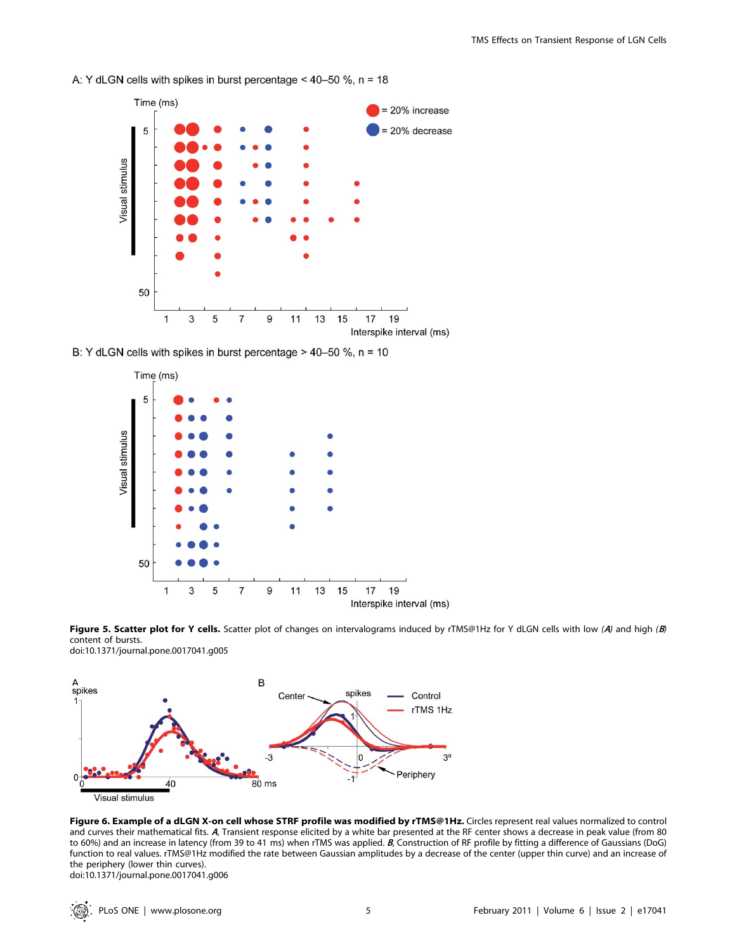

A: Y dLGN cells with spikes in burst percentage <  $40-50$  %, n = 18

B: Y dLGN cells with spikes in burst percentage  $> 40-50$  %, n = 10



Figure 5. Scatter plot for Y cells. Scatter plot of changes on intervalograms induced by rTMS@1Hz for Y dLGN cells with low (A) and high (B) content of bursts. doi:10.1371/journal.pone.0017041.g005



Figure 6. Example of a dLGN X-on cell whose STRF profile was modified by rTMS@1Hz. Circles represent real values normalized to control and curves their mathematical fits. <sup>A</sup>, Transient response elicited by a white bar presented at the RF center shows a decrease in peak value (from 80 to 60%) and an increase in latency (from 39 to 41 ms) when rTMS was applied. B, Construction of RF profile by fitting a difference of Gaussians (DoG) function to real values. rTMS@1Hz modified the rate between Gaussian amplitudes by a decrease of the center (upper thin curve) and an increase of the periphery (lower thin curves). doi:10.1371/journal.pone.0017041.g006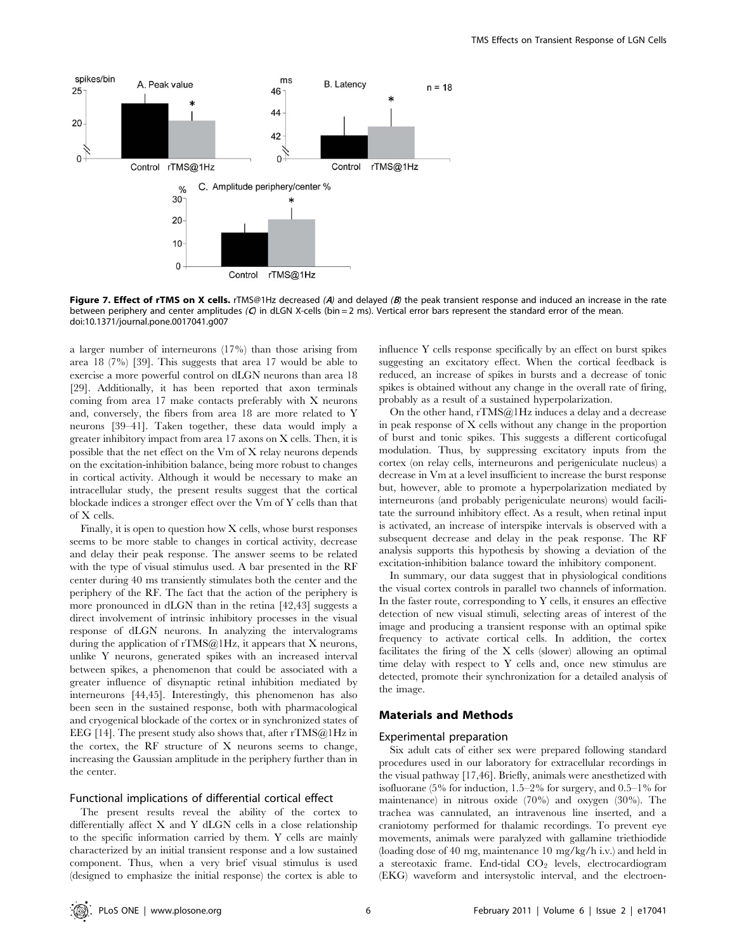

Figure 7. Effect of rTMS on X cells. rTMS@1Hz decreased (A) and delayed (B) the peak transient response and induced an increase in the rate between periphery and center amplitudes (O in dLGN X-cells (bin = 2 ms). Vertical error bars represent the standard error of the mean. doi:10.1371/journal.pone.0017041.g007

a larger number of interneurons (17%) than those arising from area 18 (7%) [39]. This suggests that area 17 would be able to exercise a more powerful control on dLGN neurons than area 18 [29]. Additionally, it has been reported that axon terminals coming from area 17 make contacts preferably with X neurons and, conversely, the fibers from area 18 are more related to Y neurons [39–41]. Taken together, these data would imply a greater inhibitory impact from area 17 axons on X cells. Then, it is possible that the net effect on the Vm of X relay neurons depends on the excitation-inhibition balance, being more robust to changes in cortical activity. Although it would be necessary to make an intracellular study, the present results suggest that the cortical blockade indices a stronger effect over the Vm of Y cells than that of X cells.

Finally, it is open to question how X cells, whose burst responses seems to be more stable to changes in cortical activity, decrease and delay their peak response. The answer seems to be related with the type of visual stimulus used. A bar presented in the RF center during 40 ms transiently stimulates both the center and the periphery of the RF. The fact that the action of the periphery is more pronounced in dLGN than in the retina [42,43] suggests a direct involvement of intrinsic inhibitory processes in the visual response of dLGN neurons. In analyzing the intervalograms during the application of rTMS@1Hz, it appears that X neurons, unlike Y neurons, generated spikes with an increased interval between spikes, a phenomenon that could be associated with a greater influence of disynaptic retinal inhibition mediated by interneurons [44,45]. Interestingly, this phenomenon has also been seen in the sustained response, both with pharmacological and cryogenical blockade of the cortex or in synchronized states of EEG [14]. The present study also shows that, after rTMS@1Hz in the cortex, the RF structure of X neurons seems to change, increasing the Gaussian amplitude in the periphery further than in the center.

# Functional implications of differential cortical effect

The present results reveal the ability of the cortex to differentially affect X and Y dLGN cells in a close relationship to the specific information carried by them. Y cells are mainly characterized by an initial transient response and a low sustained component. Thus, when a very brief visual stimulus is used (designed to emphasize the initial response) the cortex is able to influence Y cells response specifically by an effect on burst spikes suggesting an excitatory effect. When the cortical feedback is reduced, an increase of spikes in bursts and a decrease of tonic spikes is obtained without any change in the overall rate of firing, probably as a result of a sustained hyperpolarization.

On the other hand, rTMS@1Hz induces a delay and a decrease in peak response of X cells without any change in the proportion of burst and tonic spikes. This suggests a different corticofugal modulation. Thus, by suppressing excitatory inputs from the cortex (on relay cells, interneurons and perigeniculate nucleus) a decrease in Vm at a level insufficient to increase the burst response but, however, able to promote a hyperpolarization mediated by interneurons (and probably perigeniculate neurons) would facilitate the surround inhibitory effect. As a result, when retinal input is activated, an increase of interspike intervals is observed with a subsequent decrease and delay in the peak response. The RF analysis supports this hypothesis by showing a deviation of the excitation-inhibition balance toward the inhibitory component.

In summary, our data suggest that in physiological conditions the visual cortex controls in parallel two channels of information. In the faster route, corresponding to Y cells, it ensures an effective detection of new visual stimuli, selecting areas of interest of the image and producing a transient response with an optimal spike frequency to activate cortical cells. In addition, the cortex facilitates the firing of the X cells (slower) allowing an optimal time delay with respect to Y cells and, once new stimulus are detected, promote their synchronization for a detailed analysis of the image.

# Materials and Methods

#### Experimental preparation

Six adult cats of either sex were prepared following standard procedures used in our laboratory for extracellular recordings in the visual pathway [17,46]. Briefly, animals were anesthetized with isofluorane (5% for induction, 1.5–2% for surgery, and 0.5–1% for maintenance) in nitrous oxide (70%) and oxygen (30%). The trachea was cannulated, an intravenous line inserted, and a craniotomy performed for thalamic recordings. To prevent eye movements, animals were paralyzed with gallamine triethiodide (loading dose of 40 mg, maintenance 10 mg/kg/h i.v.) and held in a stereotaxic frame. End-tidal CO<sub>2</sub> levels, electrocardiogram (EKG) waveform and intersystolic interval, and the electroen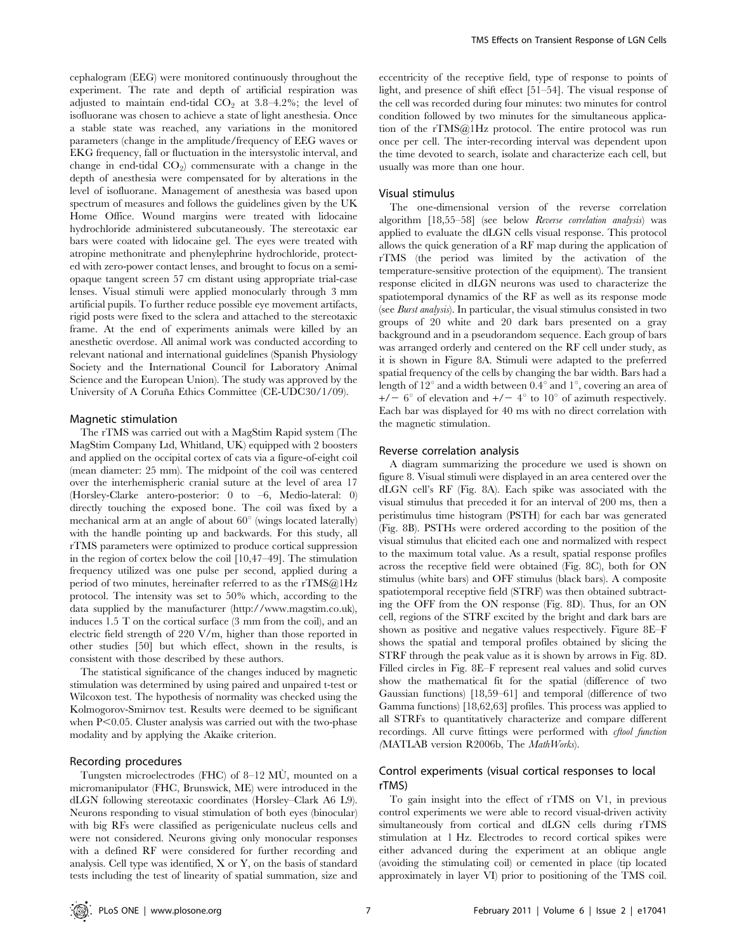cephalogram (EEG) were monitored continuously throughout the experiment. The rate and depth of artificial respiration was adjusted to maintain end-tidal  $CO<sub>2</sub>$  at 3.8–4.2%; the level of isofluorane was chosen to achieve a state of light anesthesia. Once a stable state was reached, any variations in the monitored parameters (change in the amplitude/frequency of EEG waves or EKG frequency, fall or fluctuation in the intersystolic interval, and change in end-tidal  $CO<sub>2</sub>$ ) commensurate with a change in the depth of anesthesia were compensated for by alterations in the level of isofluorane. Management of anesthesia was based upon spectrum of measures and follows the guidelines given by the UK Home Office. Wound margins were treated with lidocaine hydrochloride administered subcutaneously. The stereotaxic ear bars were coated with lidocaine gel. The eyes were treated with atropine methonitrate and phenylephrine hydrochloride, protected with zero-power contact lenses, and brought to focus on a semiopaque tangent screen 57 cm distant using appropriate trial-case lenses. Visual stimuli were applied monocularly through 3 mm artificial pupils. To further reduce possible eye movement artifacts, rigid posts were fixed to the sclera and attached to the stereotaxic frame. At the end of experiments animals were killed by an anesthetic overdose. All animal work was conducted according to relevant national and international guidelines (Spanish Physiology Society and the International Council for Laboratory Animal Science and the European Union). The study was approved by the University of A Coruña Ethics Committee (CE-UDC30/1/09).

# Magnetic stimulation

The rTMS was carried out with a MagStim Rapid system (The MagStim Company Ltd, Whitland, UK) equipped with 2 boosters and applied on the occipital cortex of cats via a figure-of-eight coil (mean diameter: 25 mm). The midpoint of the coil was centered over the interhemispheric cranial suture at the level of area 17 (Horsley-Clarke antero-posterior: 0 to –6, Medio-lateral: 0) directly touching the exposed bone. The coil was fixed by a mechanical arm at an angle of about  $60^{\circ}$  (wings located laterally) with the handle pointing up and backwards. For this study, all rTMS parameters were optimized to produce cortical suppression in the region of cortex below the coil [10,47–49]. The stimulation frequency utilized was one pulse per second, applied during a period of two minutes, hereinafter referred to as the rTMS@1Hz protocol. The intensity was set to 50% which, according to the data supplied by the manufacturer (http://www.magstim.co.uk), induces 1.5 T on the cortical surface (3 mm from the coil), and an electric field strength of 220 V/m, higher than those reported in other studies [50] but which effect, shown in the results, is consistent with those described by these authors.

The statistical significance of the changes induced by magnetic stimulation was determined by using paired and unpaired t-test or Wilcoxon test. The hypothesis of normality was checked using the Kolmogorov-Smirnov test. Results were deemed to be significant when  $P<0.05$ . Cluster analysis was carried out with the two-phase modality and by applying the Akaike criterion.

#### Recording procedures

Tungsten microelectrodes (FHC) of 8–12 MU, mounted on a micromanipulator (FHC, Brunswick, ME) were introduced in the dLGN following stereotaxic coordinates (Horsley–Clark A6 L9). Neurons responding to visual stimulation of both eyes (binocular) with big RFs were classified as perigeniculate nucleus cells and were not considered. Neurons giving only monocular responses with a defined RF were considered for further recording and analysis. Cell type was identified, X or Y, on the basis of standard tests including the test of linearity of spatial summation, size and

eccentricity of the receptive field, type of response to points of light, and presence of shift effect [51–54]. The visual response of the cell was recorded during four minutes: two minutes for control condition followed by two minutes for the simultaneous application of the rTMS@1Hz protocol. The entire protocol was run once per cell. The inter-recording interval was dependent upon the time devoted to search, isolate and characterize each cell, but usually was more than one hour.

#### Visual stimulus

The one-dimensional version of the reverse correlation algorithm [18,55–58] (see below Reverse correlation analysis) was applied to evaluate the dLGN cells visual response. This protocol allows the quick generation of a RF map during the application of rTMS (the period was limited by the activation of the temperature-sensitive protection of the equipment). The transient response elicited in dLGN neurons was used to characterize the spatiotemporal dynamics of the RF as well as its response mode (see Burst analysis). In particular, the visual stimulus consisted in two groups of 20 white and 20 dark bars presented on a gray background and in a pseudorandom sequence. Each group of bars was arranged orderly and centered on the RF cell under study, as it is shown in Figure 8A. Stimuli were adapted to the preferred spatial frequency of the cells by changing the bar width. Bars had a length of  $12^{\circ}$  and a width between 0.4° and 1°, covering an area of  $+/-$  6° of elevation and  $+/-$  4° to 10° of azimuth respectively. Each bar was displayed for 40 ms with no direct correlation with the magnetic stimulation.

## Reverse correlation analysis

A diagram summarizing the procedure we used is shown on figure 8. Visual stimuli were displayed in an area centered over the dLGN cell's RF (Fig. 8A). Each spike was associated with the visual stimulus that preceded it for an interval of 200 ms, then a peristimulus time histogram (PSTH) for each bar was generated (Fig. 8B). PSTHs were ordered according to the position of the visual stimulus that elicited each one and normalized with respect to the maximum total value. As a result, spatial response profiles across the receptive field were obtained (Fig. 8C), both for ON stimulus (white bars) and OFF stimulus (black bars). A composite spatiotemporal receptive field (STRF) was then obtained subtracting the OFF from the ON response (Fig. 8D). Thus, for an ON cell, regions of the STRF excited by the bright and dark bars are shown as positive and negative values respectively. Figure 8E–F shows the spatial and temporal profiles obtained by slicing the STRF through the peak value as it is shown by arrows in Fig. 8D. Filled circles in Fig. 8E–F represent real values and solid curves show the mathematical fit for the spatial (difference of two Gaussian functions) [18,59–61] and temporal (difference of two Gamma functions) [18,62,63] profiles. This process was applied to all STRFs to quantitatively characterize and compare different recordings. All curve fittings were performed with *cftool function* (MATLAB version R2006b, The MathWorks).

# Control experiments (visual cortical responses to local rTMS)

To gain insight into the effect of rTMS on V1, in previous control experiments we were able to record visual-driven activity simultaneously from cortical and dLGN cells during rTMS stimulation at 1 Hz. Electrodes to record cortical spikes were either advanced during the experiment at an oblique angle (avoiding the stimulating coil) or cemented in place (tip located approximately in layer VI) prior to positioning of the TMS coil.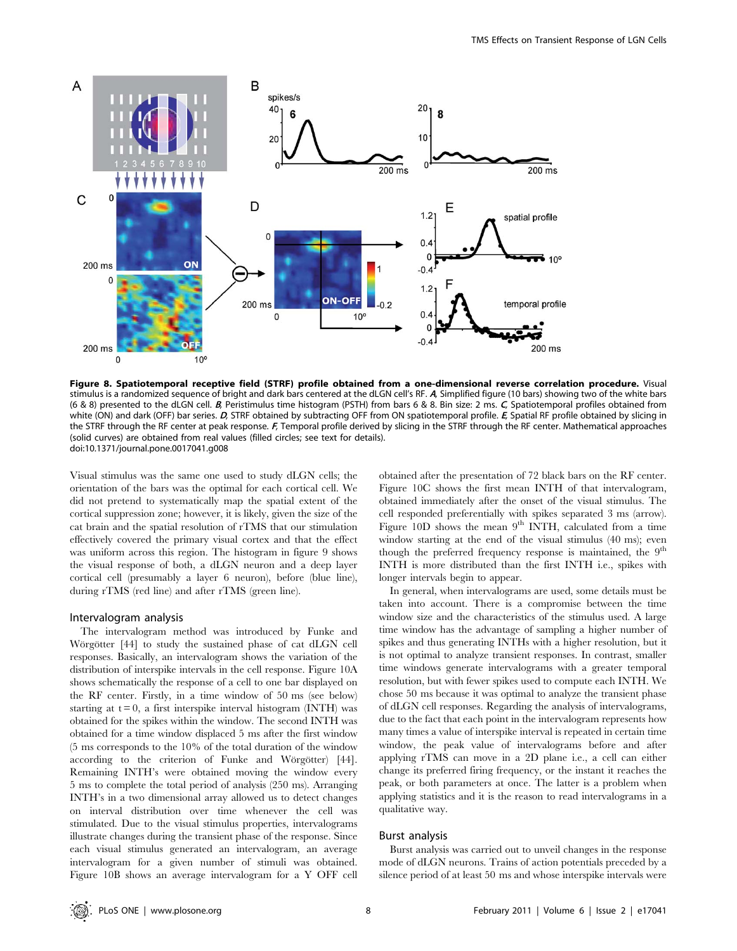

Figure 8. Spatiotemporal receptive field (STRF) profile obtained from a one-dimensional reverse correlation procedure. Visual stimulus is a randomized sequence of bright and dark bars centered at the dLGN cell's RF. A, Simplified figure (10 bars) showing two of the white bars (6 & 8) presented to the dLGN cell. <sup>B</sup>, Peristimulus time histogram (PSTH) from bars 6 & 8. Bin size: 2 ms. <sup>C</sup>, Spatiotemporal profiles obtained from white (ON) and dark (OFF) bar series. D, STRF obtained by subtracting OFF from ON spatiotemporal profile. E, Spatial RF profile obtained by slicing in the STRF through the RF center at peak response. F, Temporal profile derived by slicing in the STRF through the RF center. Mathematical approaches (solid curves) are obtained from real values (filled circles; see text for details). doi:10.1371/journal.pone.0017041.g008

Visual stimulus was the same one used to study dLGN cells; the orientation of the bars was the optimal for each cortical cell. We did not pretend to systematically map the spatial extent of the cortical suppression zone; however, it is likely, given the size of the cat brain and the spatial resolution of rTMS that our stimulation effectively covered the primary visual cortex and that the effect was uniform across this region. The histogram in figure 9 shows the visual response of both, a dLGN neuron and a deep layer cortical cell (presumably a layer 6 neuron), before (blue line), during rTMS (red line) and after rTMS (green line).

# Intervalogram analysis

The intervalogram method was introduced by Funke and Wörgötter [44] to study the sustained phase of cat dLGN cell responses. Basically, an intervalogram shows the variation of the distribution of interspike intervals in the cell response. Figure 10A shows schematically the response of a cell to one bar displayed on the RF center. Firstly, in a time window of 50 ms (see below) starting at  $t = 0$ , a first interspike interval histogram (INTH) was obtained for the spikes within the window. The second INTH was obtained for a time window displaced 5 ms after the first window (5 ms corresponds to the 10% of the total duration of the window according to the criterion of Funke and Wörgötter) [44]. Remaining INTH's were obtained moving the window every 5 ms to complete the total period of analysis (250 ms). Arranging INTH's in a two dimensional array allowed us to detect changes on interval distribution over time whenever the cell was stimulated. Due to the visual stimulus properties, intervalograms illustrate changes during the transient phase of the response. Since each visual stimulus generated an intervalogram, an average intervalogram for a given number of stimuli was obtained. Figure 10B shows an average intervalogram for a Y OFF cell obtained after the presentation of 72 black bars on the RF center. Figure 10C shows the first mean INTH of that intervalogram, obtained immediately after the onset of the visual stimulus. The cell responded preferentially with spikes separated 3 ms (arrow). Figure 10D shows the mean  $9<sup>th</sup>$  INTH, calculated from a time window starting at the end of the visual stimulus (40 ms); even though the preferred frequency response is maintained, the  $9<sup>th</sup>$ INTH is more distributed than the first INTH i.e., spikes with longer intervals begin to appear.

In general, when intervalograms are used, some details must be taken into account. There is a compromise between the time window size and the characteristics of the stimulus used. A large time window has the advantage of sampling a higher number of spikes and thus generating INTHs with a higher resolution, but it is not optimal to analyze transient responses. In contrast, smaller time windows generate intervalograms with a greater temporal resolution, but with fewer spikes used to compute each INTH. We chose 50 ms because it was optimal to analyze the transient phase of dLGN cell responses. Regarding the analysis of intervalograms, due to the fact that each point in the intervalogram represents how many times a value of interspike interval is repeated in certain time window, the peak value of intervalograms before and after applying rTMS can move in a 2D plane i.e., a cell can either change its preferred firing frequency, or the instant it reaches the peak, or both parameters at once. The latter is a problem when applying statistics and it is the reason to read intervalograms in a qualitative way.

#### Burst analysis

Burst analysis was carried out to unveil changes in the response mode of dLGN neurons. Trains of action potentials preceded by a silence period of at least 50 ms and whose interspike intervals were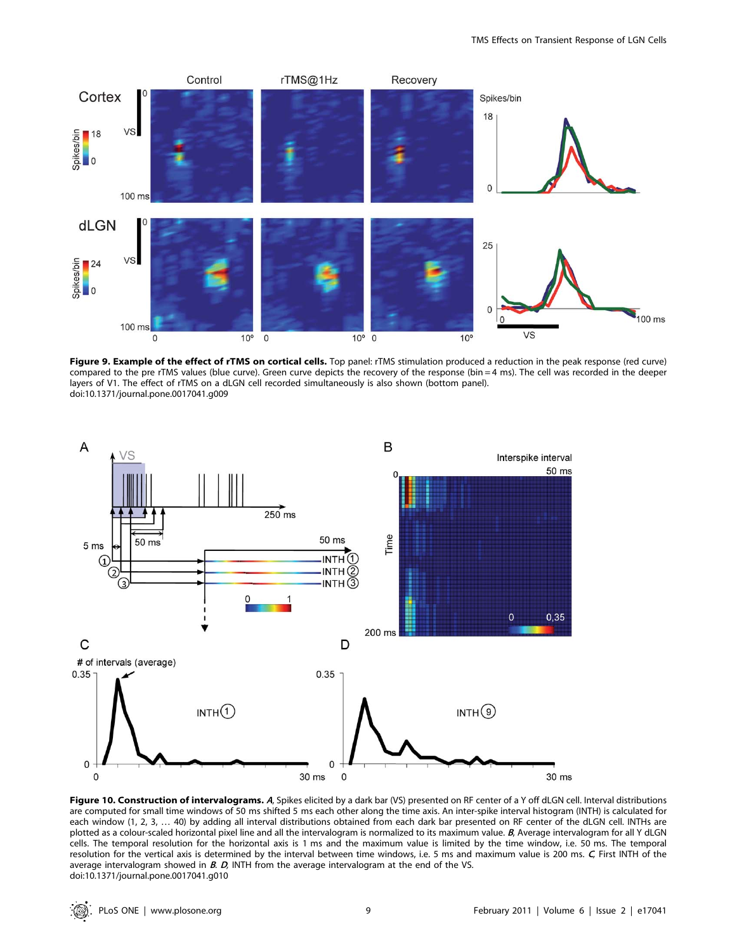

Figure 9. Example of the effect of rTMS on cortical cells. Top panel: rTMS stimulation produced a reduction in the peak response (red curve) compared to the pre rTMS values (blue curve). Green curve depicts the recovery of the response (bin = 4 ms). The cell was recorded in the deeper layers of V1. The effect of rTMS on a dLGN cell recorded simultaneously is also shown (bottom panel). doi:10.1371/journal.pone.0017041.g009



Figure 10. Construction of intervalograms. A, Spikes elicited by a dark bar (VS) presented on RF center of a Y off dLGN cell. Interval distributions are computed for small time windows of 50 ms shifted 5 ms each other along the time axis. An inter-spike interval histogram (INTH) is calculated for each window (1, 2, 3, … 40) by adding all interval distributions obtained from each dark bar presented on RF center of the dLGN cell. INTHs are plotted as a colour-scaled horizontal pixel line and all the intervalogram is normalized to its maximum value. B, Average intervalogram for all Y dLGN cells. The temporal resolution for the horizontal axis is 1 ms and the maximum value is limited by the time window, i.e. 50 ms. The temporal resolution for the vertical axis is determined by the interval between time windows, i.e. 5 ms and maximum value is 200 ms. C, First INTH of the average intervalogram showed in  $B$ .  $D$ , INTH from the average intervalogram at the end of the VS. doi:10.1371/journal.pone.0017041.g010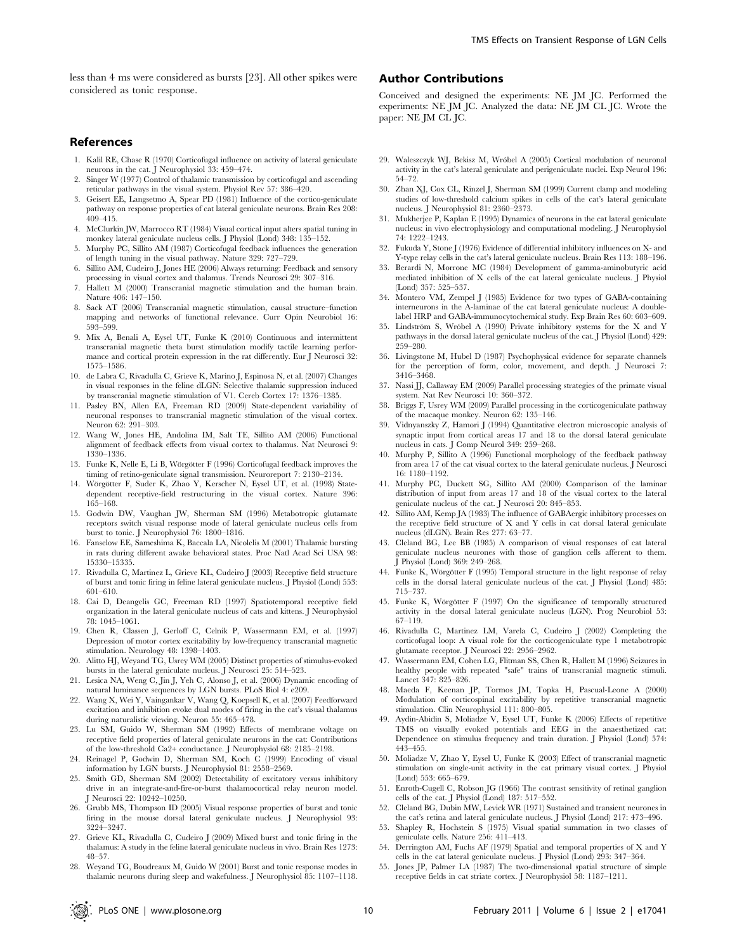less than 4 ms were considered as bursts [23]. All other spikes were considered as tonic response.

# References

- 1. Kalil RE, Chase R (1970) Corticofugal influence on activity of lateral geniculate neurons in the cat. J Neurophysiol 33: 459–474.
- 2. Singer W (1977) Control of thalamic transmission by corticofugal and ascending reticular pathways in the visual system. Physiol Rev 57: 386–420.
- 3. Geisert EE, Langsetmo A, Spear PD (1981) Influence of the cortico-geniculate pathway on response properties of cat lateral geniculate neurons. Brain Res 208:  $409 - 415$ .
- 4. McClurkin JW, Marrocco RT (1984) Visual cortical input alters spatial tuning in monkey lateral geniculate nucleus cells. J Physiol (Lond) 348: 135–152.
- 5. Murphy PC, Sillito AM (1987) Corticofugal feedback influences the generation of length tuning in the visual pathway. Nature 329: 727–729.
- 6. Sillito AM, Cudeiro J, Jones HE (2006) Always returning: Feedback and sensory processing in visual cortex and thalamus. Trends Neurosci 29: 307–316.
- 7. Hallett M (2000) Transcranial magnetic stimulation and the human brain. Nature 406: 147–150.
- 8. Sack AT (2006) Transcranial magnetic stimulation, causal structure–function mapping and networks of functional relevance. Curr Opin Neurobiol 16: 593–599.
- 9. Mix A, Benali A, Eysel UT, Funke K (2010) Continuous and intermittent transcranial magnetic theta burst stimulation modify tactile learning performance and cortical protein expression in the rat differently. Eur J Neurosci 32: 1575–1586.
- 10. de Labra C, Rivadulla C, Grieve K, Marino J, Espinosa N, et al. (2007) Changes in visual responses in the feline dLGN: Selective thalamic suppression induced by transcranial magnetic stimulation of V1. Cereb Cortex 17: 1376–1385.
- 11. Pasley BN, Allen EA, Freeman RD (2009) State-dependent variability of neuronal responses to transcranial magnetic stimulation of the visual cortex. Neuron 62: 291-303.
- 12. Wang W, Jones HE, Andolina IM, Salt TE, Sillito AM (2006) Functional alignment of feedback effects from visual cortex to thalamus. Nat Neurosci 9: 1330–1336.
- 13. Funke K, Nelle E, Li B, Wörgötter F (1996) Corticofugal feedback improves the timing of retino-geniculate signal transmission. Neuroreport 7: 2130–2134.
- 14. Wörgötter F, Suder K, Zhao Y, Kerscher N, Eysel UT, et al. (1998) Statedependent receptive-field restructuring in the visual cortex. Nature 396: 165–168.
- 15. Godwin DW, Vaughan JW, Sherman SM (1996) Metabotropic glutamate receptors switch visual response mode of lateral geniculate nucleus cells from burst to tonic. J Neurophysiol 76: 1800–1816.
- 16. Fanselow EE, Sameshima K, Baccala LA, Nicolelis M (2001) Thalamic bursting in rats during different awake behavioral states. Proc Natl Acad Sci USA 98: 15330–15335.
- 17. Rivadulla C, Martinez L, Grieve KL, Cudeiro J (2003) Receptive field structure of burst and tonic firing in feline lateral geniculate nucleus. J Physiol (Lond) 553: 601–610.
- 18. Cai D, Deangelis GC, Freeman RD (1997) Spatiotemporal receptive field organization in the lateral geniculate nucleus of cats and kittens. J Neurophysiol 78: 1045–1061.
- 19. Chen R, Classen J, Gerloff C, Celnik P, Wassermann EM, et al. (1997) Depression of motor cortex excitability by low-frequency transcranial magnetic stimulation. Neurology 48: 1398–1403.
- 20. Alitto HJ, Weyand TG, Usrey WM (2005) Distinct properties of stimulus-evoked bursts in the lateral geniculate nucleus. J Neurosci 25: 514–523.
- 21. Lesica NA, Weng C, Jin J, Yeh C, Alonso J, et al. (2006) Dynamic encoding of natural luminance sequences by LGN bursts. PLoS Biol 4: e209.
- 22. Wang X, Wei Y, Vaingankar V, Wang Q, Koepsell K, et al. (2007) Feedforward excitation and inhibition evoke dual modes of firing in the cat's visual thalamus during naturalistic viewing. Neuron 55: 465–478.
- 23. Lu SM, Guido W, Sherman SM (1992) Effects of membrane voltage on receptive field properties of lateral geniculate neurons in the cat: Contributions of the low-threshold Ca2+ conductance. J Neurophysiol 68: 2185–2198.
- 24. Reinagel P, Godwin D, Sherman SM, Koch C (1999) Encoding of visual information by LGN bursts. J Neurophysiol 81: 2558–2569.
- 25. Smith GD, Sherman SM (2002) Detectability of excitatory versus inhibitory drive in an integrate-and-fire-or-burst thalamocortical relay neuron model. J Neurosci 22: 10242–10250.
- 26. Grubb MS, Thompson ID (2005) Visual response properties of burst and tonic firing in the mouse dorsal lateral geniculate nucleus. J Neurophysiol 93: 3224–3247.
- 27. Grieve KL, Rivadulla C, Cudeiro J (2009) Mixed burst and tonic firing in the thalamus: A study in the feline lateral geniculate nucleus in vivo. Brain Res 1273: 48–57.
- 28. Weyand TG, Boudreaux M, Guido W (2001) Burst and tonic response modes in thalamic neurons during sleep and wakefulness. J Neurophysiol 85: 1107–1118.

# Author Contributions

Conceived and designed the experiments: NE JM JC. Performed the experiments: NE JM JC. Analyzed the data: NE JM CL JC. Wrote the paper: NE JM CL JC.

- 29. Waleszczyk WJ, Bekisz M, Wro´bel A (2005) Cortical modulation of neuronal activity in the cat's lateral geniculate and perigeniculate nuclei. Exp Neurol 196: 54–72.
- 30. Zhan XJ, Cox CL, Rinzel J, Sherman SM (1999) Current clamp and modeling studies of low-threshold calcium spikes in cells of the cat's lateral geniculate nucleus. J Neurophysiol 81: 2360–2373.
- 31. Mukherjee P, Kaplan E (1995) Dynamics of neurons in the cat lateral geniculate nucleus: in vivo electrophysiology and computational modeling. J Neurophysiol 74: 1222–1243.
- 32. Fukuda Y, Stone J (1976) Evidence of differential inhibitory influences on X- and Y-type relay cells in the cat's lateral geniculate nucleus. Brain Res 113: 188–196.
- 33. Berardi N, Morrone MC (1984) Development of gamma-aminobutyric acid mediated inhibition of X cells of the cat lateral geniculate nucleus. J Physiol (Lond) 357: 525–537.
- 34. Montero VM, Zempel J (1985) Evidence for two types of GABA-containing interneurons in the A-laminae of the cat lateral geniculate nucleus: A doublelabel HRP and GABA-immunocytochemical study. Exp Brain Res 60: 603–609.
- 35. Lindström S, Wróbel A (1990) Private inhibitory systems for the X and Y pathways in the dorsal lateral geniculate nucleus of the cat. J Physiol (Lond) 429:  $259 - 280$
- 36. Livingstone M, Hubel D (1987) Psychophysical evidence for separate channels for the perception of form, color, movement, and depth. J Neurosci 7: 3416–3468.
- 37. Nassi JJ, Callaway EM (2009) Parallel processing strategies of the primate visual system. Nat Rev Neurosci 10: 360–372.
- 38. Briggs F, Usrey WM (2009) Parallel processing in the corticogeniculate pathway of the macaque monkey. Neuron 62: 135–146.
- 39. Vidnyanszky Z, Hamori J (1994) Quantitative electron microscopic analysis of synaptic input from cortical areas 17 and 18 to the dorsal lateral geniculate nucleus in cats. J Comp Neurol 349: 259–268.
- 40. Murphy P, Sillito A (1996) Functional morphology of the feedback pathway from area 17 of the cat visual cortex to the lateral geniculate nucleus. J Neurosci 16: 1180–1192.
- 41. Murphy PC, Duckett SG, Sillito AM (2000) Comparison of the laminar distribution of input from areas 17 and 18 of the visual cortex to the lateral geniculate nucleus of the cat. J Neurosci 20: 845–853.
- 42. Sillito AM, Kemp JA (1983) The influence of GABAergic inhibitory processes on the receptive field structure of X and Y cells in cat dorsal lateral geniculate nucleus (dLGN). Brain Res 277: 63–77.
- 43. Cleland BG, Lee BB (1985) A comparison of visual responses of cat lateral geniculate nucleus neurones with those of ganglion cells afferent to them. J Physiol (Lond) 369: 249–268.
- 44. Funke K, Wörgötter F (1995) Temporal structure in the light response of relay cells in the dorsal lateral geniculate nucleus of the cat. J Physiol (Lond) 485: 715–737.
- 45. Funke K, Wörgötter F (1997) On the significance of temporally structured activity in the dorsal lateral geniculate nucleus (LGN). Prog Neurobiol 53: 67–119.
- 46. Rivadulla C, Martinez LM, Varela C, Cudeiro J (2002) Completing the corticofugal loop: A visual role for the corticogeniculate type 1 metabotropic glutamate receptor. J Neurosci 22: 2956–2962.
- 47. Wassermann EM, Cohen LG, Flitman SS, Chen R, Hallett M (1996) Seizures in healthy people with repeated "safe" trains of transcranial magnetic stimuli. Lancet 347: 825–826.
- 48. Maeda F, Keenan JP, Tormos JM, Topka H, Pascual-Leone A (2000) Modulation of corticospinal excitability by repetitive transcranial magnetic stimulation. Clin Neurophysiol 111: 800–805.
- 49. Aydin-Abidin S, Moliadze V, Eysel UT, Funke K (2006) Effects of repetitive TMS on visually evoked potentials and EEG in the anaesthetized cat: Dependence on stimulus frequency and train duration. J Physiol (Lond) 574: 443–455.
- 50. Moliadze V, Zhao Y, Eysel U, Funke K (2003) Effect of transcranial magnetic stimulation on single-unit activity in the cat primary visual cortex. J Physiol (Lond) 553: 665–679.
- 51. Enroth-Cugell C, Robson JG (1966) The contrast sensitivity of retinal ganglion cells of the cat. J Physiol (Lond) 187: 517–552.
- 52. Cleland BG, Dubin MW, Levick WR (1971) Sustained and transient neurones in the cat's retina and lateral geniculate nucleus. J Physiol (Lond) 217: 473–496.
- 53. Shapley R, Hochstein S (1975) Visual spatial summation in two classes of geniculate cells. Nature 256: 411–413.
- 54. Derrington AM, Fuchs AF (1979) Spatial and temporal properties of X and Y cells in the cat lateral geniculate nucleus. J Physiol (Lond) 293: 347–364.
- 55. Jones JP, Palmer LA (1987) The two-dimensional spatial structure of simple receptive fields in cat striate cortex. J Neurophysiol 58: 1187–1211.